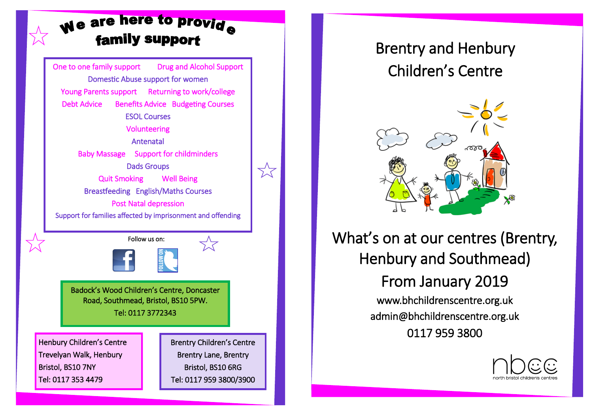## We are here to provide **family support**

One to one family support Drug and Alcohol Support Domestic Abuse support for women Young Parents support Returning to work/college Debt Advice Benefits Advice Budgeting Courses ESOL Courses Volunteering Antenatal Baby Massage Support for childminders Dads Groups Quit Smoking Well Being Breastfeeding English/Maths Courses Post Natal depression Support for families affected by imprisonment and offending Henbury Children's Centre Trevelyan Walk, Henbury Bristol, BS10 7NY Tel: 0117 353 4479 Brentry Children's Centre Brentry Lane, Brentry Bristol, BS10 6RG Tel: 0117 959 3800/3900 Badock's Wood Children's Centre, Doncaster Road, Southmead, Bristol, BS10 5PW. Tel: 0117 3772343 Follow us on:

 $\lesssim$ 

## Brentry and Henbury Children's Centre



## What's on at our centres (Brentry, Henbury and Southmead)

From January 2019 www.bhchildrenscentre.org.uk admin@bhchildrenscentre.org.uk 0117 959 3800